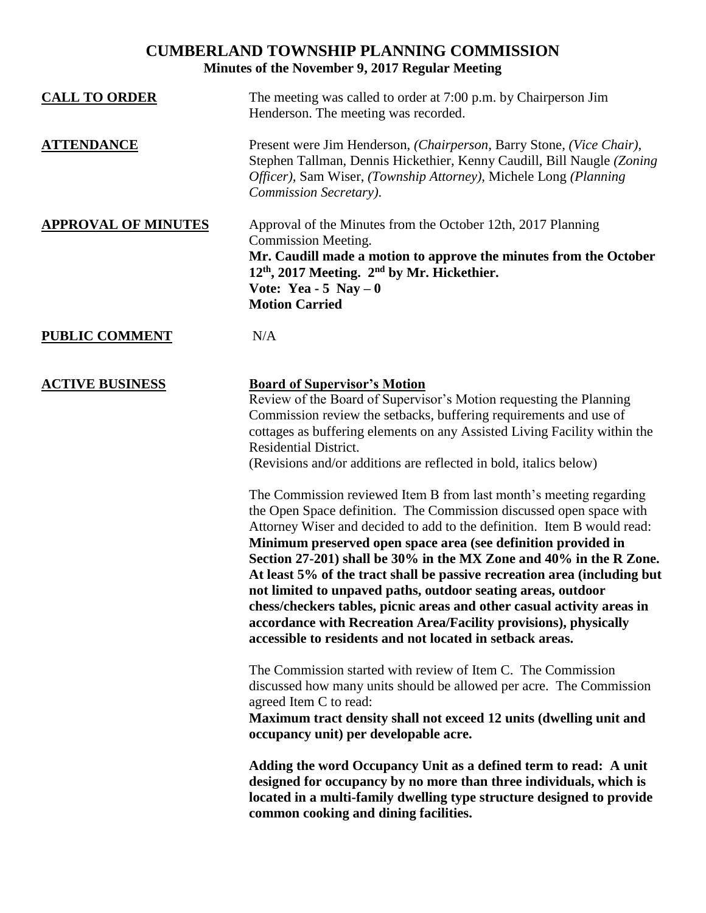## **CUMBERLAND TOWNSHIP PLANNING COMMISSION Minutes of the November 9, 2017 Regular Meeting**

| <b>CALL TO ORDER</b>       | The meeting was called to order at 7:00 p.m. by Chairperson Jim<br>Henderson. The meeting was recorded.                                                                                                                                                                                                                                                                                                                                                                                                                                                                                                                                                                                                            |
|----------------------------|--------------------------------------------------------------------------------------------------------------------------------------------------------------------------------------------------------------------------------------------------------------------------------------------------------------------------------------------------------------------------------------------------------------------------------------------------------------------------------------------------------------------------------------------------------------------------------------------------------------------------------------------------------------------------------------------------------------------|
| <b>ATTENDANCE</b>          | Present were Jim Henderson, (Chairperson, Barry Stone, (Vice Chair),<br>Stephen Tallman, Dennis Hickethier, Kenny Caudill, Bill Naugle (Zoning<br>Officer), Sam Wiser, (Township Attorney), Michele Long (Planning<br>Commission Secretary).                                                                                                                                                                                                                                                                                                                                                                                                                                                                       |
| <b>APPROVAL OF MINUTES</b> | Approval of the Minutes from the October 12th, 2017 Planning<br><b>Commission Meeting.</b><br>Mr. Caudill made a motion to approve the minutes from the October<br>$12th$ , 2017 Meeting. $2nd$ by Mr. Hickethier.<br>Vote: Yea - 5 Nay $-0$<br><b>Motion Carried</b>                                                                                                                                                                                                                                                                                                                                                                                                                                              |
| <b>PUBLIC COMMENT</b>      | N/A                                                                                                                                                                                                                                                                                                                                                                                                                                                                                                                                                                                                                                                                                                                |
| <b>ACTIVE BUSINESS</b>     | <b>Board of Supervisor's Motion</b><br>Review of the Board of Supervisor's Motion requesting the Planning<br>Commission review the setbacks, buffering requirements and use of<br>cottages as buffering elements on any Assisted Living Facility within the<br><b>Residential District.</b><br>(Revisions and/or additions are reflected in bold, italics below)                                                                                                                                                                                                                                                                                                                                                   |
|                            | The Commission reviewed Item B from last month's meeting regarding<br>the Open Space definition. The Commission discussed open space with<br>Attorney Wiser and decided to add to the definition. Item B would read:<br>Minimum preserved open space area (see definition provided in<br>Section 27-201) shall be 30% in the MX Zone and 40% in the R Zone.<br>At least 5% of the tract shall be passive recreation area (including but<br>not limited to unpaved paths, outdoor seating areas, outdoor<br>chess/checkers tables, picnic areas and other casual activity areas in<br>accordance with Recreation Area/Facility provisions), physically<br>accessible to residents and not located in setback areas. |
|                            | The Commission started with review of Item C. The Commission<br>discussed how many units should be allowed per acre. The Commission<br>agreed Item C to read:<br>Maximum tract density shall not exceed 12 units (dwelling unit and<br>occupancy unit) per developable acre.                                                                                                                                                                                                                                                                                                                                                                                                                                       |
|                            | Adding the word Occupancy Unit as a defined term to read: A unit<br>designed for occupancy by no more than three individuals, which is<br>located in a multi-family dwelling type structure designed to provide<br>common cooking and dining facilities.                                                                                                                                                                                                                                                                                                                                                                                                                                                           |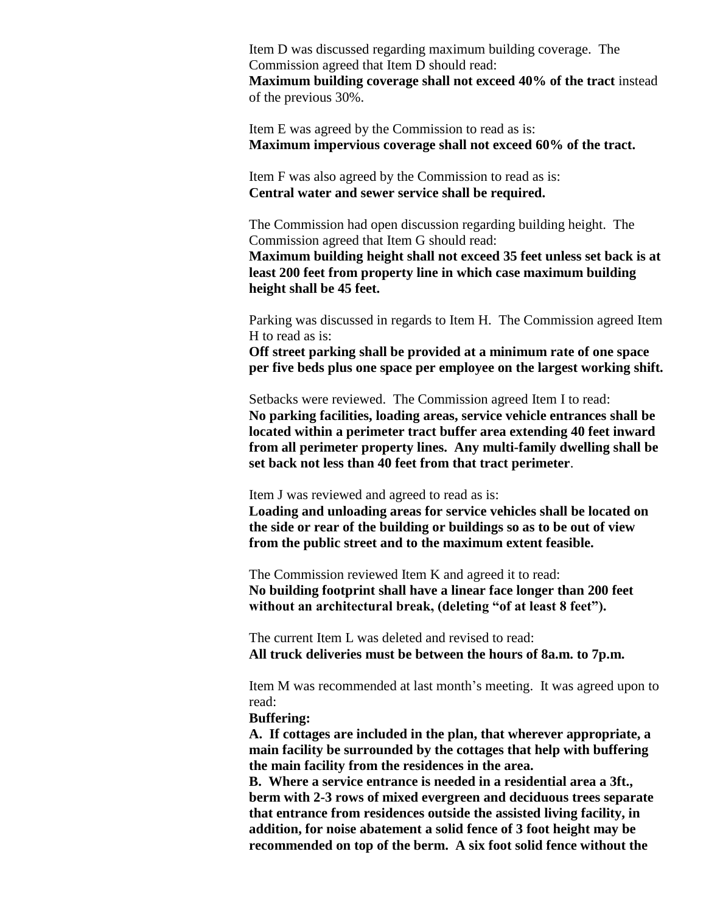Item D was discussed regarding maximum building coverage. The Commission agreed that Item D should read: **Maximum building coverage shall not exceed 40% of the tract** instead of the previous 30%.

Item E was agreed by the Commission to read as is: **Maximum impervious coverage shall not exceed 60% of the tract.**

Item F was also agreed by the Commission to read as is: **Central water and sewer service shall be required.**

The Commission had open discussion regarding building height. The Commission agreed that Item G should read:

**Maximum building height shall not exceed 35 feet unless set back is at least 200 feet from property line in which case maximum building height shall be 45 feet.**

Parking was discussed in regards to Item H. The Commission agreed Item H to read as is:

**Off street parking shall be provided at a minimum rate of one space per five beds plus one space per employee on the largest working shift.**

Setbacks were reviewed. The Commission agreed Item I to read: **No parking facilities, loading areas, service vehicle entrances shall be located within a perimeter tract buffer area extending 40 feet inward from all perimeter property lines. Any multi-family dwelling shall be set back not less than 40 feet from that tract perimeter**.

Item J was reviewed and agreed to read as is:

**Loading and unloading areas for service vehicles shall be located on the side or rear of the building or buildings so as to be out of view from the public street and to the maximum extent feasible.**

The Commission reviewed Item K and agreed it to read: **No building footprint shall have a linear face longer than 200 feet without an architectural break, (deleting "of at least 8 feet").**

The current Item L was deleted and revised to read: **All truck deliveries must be between the hours of 8a.m. to 7p.m.**

Item M was recommended at last month's meeting. It was agreed upon to read:

**Buffering:** 

**A. If cottages are included in the plan, that wherever appropriate, a main facility be surrounded by the cottages that help with buffering the main facility from the residences in the area.**

**B. Where a service entrance is needed in a residential area a 3ft., berm with 2-3 rows of mixed evergreen and deciduous trees separate that entrance from residences outside the assisted living facility, in addition, for noise abatement a solid fence of 3 foot height may be recommended on top of the berm. A six foot solid fence without the**